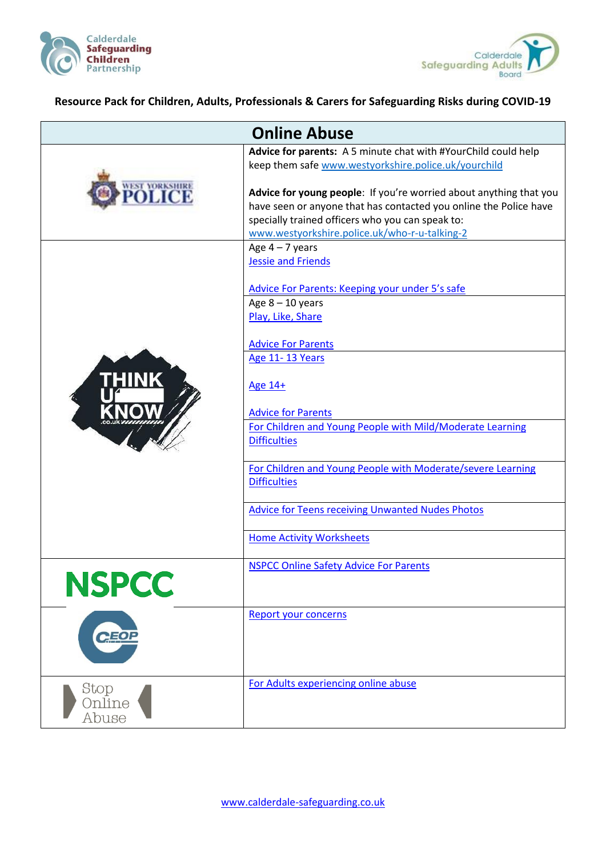



## **Resource Pack for Children, Adults, Professionals & Carers for Safeguarding Risks during COVID-19**

| <b>Online Abuse</b> |                                                                                                                                                                                             |
|---------------------|---------------------------------------------------------------------------------------------------------------------------------------------------------------------------------------------|
|                     | Advice for parents: A 5 minute chat with #YourChild could help<br>keep them safe www.westyorkshire.police.uk/yourchild                                                                      |
| <b>VEST YORKS!</b>  | Advice for young people: If you're worried about anything that you<br>have seen or anyone that has contacted you online the Police have<br>specially trained officers who you can speak to: |
|                     | www.westyorkshire.police.uk/who-r-u-talking-2                                                                                                                                               |
|                     | Age $4 - 7$ years                                                                                                                                                                           |
|                     | <b>Jessie and Friends</b>                                                                                                                                                                   |
|                     | Advice For Parents: Keeping your under 5's safe                                                                                                                                             |
|                     | Age $8 - 10$ years                                                                                                                                                                          |
|                     | Play, Like, Share                                                                                                                                                                           |
|                     | <b>Advice For Parents</b>                                                                                                                                                                   |
|                     | Age 11-13 Years                                                                                                                                                                             |
| <b>HINK</b>         | Age 14+                                                                                                                                                                                     |
|                     | <b>Advice for Parents</b>                                                                                                                                                                   |
|                     | For Children and Young People with Mild/Moderate Learning                                                                                                                                   |
|                     | <b>Difficulties</b>                                                                                                                                                                         |
|                     | For Children and Young People with Moderate/severe Learning                                                                                                                                 |
|                     | <b>Difficulties</b>                                                                                                                                                                         |
|                     | <b>Advice for Teens receiving Unwanted Nudes Photos</b>                                                                                                                                     |
|                     |                                                                                                                                                                                             |
|                     | <b>Home Activity Worksheets</b>                                                                                                                                                             |
|                     | <b>NSPCC Online Safety Advice For Parents</b>                                                                                                                                               |
| <b>NSPCC</b>        |                                                                                                                                                                                             |
|                     |                                                                                                                                                                                             |
| <b>CEOP</b>         | <b>Report your concerns</b>                                                                                                                                                                 |
|                     |                                                                                                                                                                                             |
|                     |                                                                                                                                                                                             |
| Stop<br>Online      | For Adults experiencing online abuse                                                                                                                                                        |
| Abuse               |                                                                                                                                                                                             |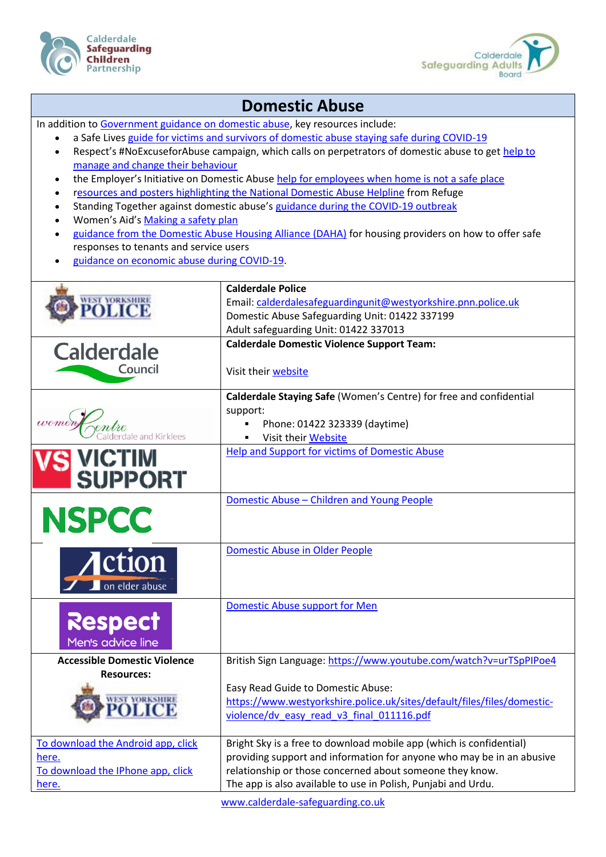



## **Domestic Abuse**

In addition t[o Government guidance on domestic abuse,](https://lnks.gd/l/eyJhbGciOiJIUzI1NiJ9.eyJidWxsZXRpbl9saW5rX2lkIjoxMTcsInVyaSI6ImJwMjpjbGljayIsImJ1bGxldGluX2lkIjoiMjAyMDA0MTQuMjAxNDQ2NTEiLCJ1cmwiOiJodHRwczovL3d3dy5nb3YudWsvZ292ZXJubWVudC9wdWJsaWNhdGlvbnMvY29yb25hdmlydXMtY292aWQtMTktYW5kLWRvbWVzdGljLWFidXNlL2Nvcm9uYXZpcnVzLWNvdmlkLTE5LXN1cHBvcnQtZm9yLXZpY3RpbXMtb2YtZG9tZXN0aWMtYWJ1c2UifQ.cMais5XOUdyVCT2h2FBxIS-Si1Pl3QXCGm5sAGJiZTQ/br/77398972767-l) key resources include:

- a Safe Lives [guide for victims and survivors of domestic abuse staying safe during COVID-19](https://lnks.gd/l/eyJhbGciOiJIUzI1NiJ9.eyJidWxsZXRpbl9saW5rX2lkIjoxMTgsInVyaSI6ImJwMjpjbGljayIsImJ1bGxldGluX2lkIjoiMjAyMDA0MTQuMjAxNDQ2NTEiLCJ1cmwiOiJodHRwczovL3NhZmVsaXZlcy5vcmcudWsvc3RheWluZy1zYWZlLWR1cmluZy1jb3ZpZC0xOS1ndWlkYW5jZSJ9.wFoB729xjSxvCjANKJ-0nCpTFrrJDDR3mjLqtBf3wj4/br/77398972767-l)
- Respect's #NoExcuseforAbuse campaign, which calls on perpetrators of domestic abuse to get [help to](https://lnks.gd/l/eyJhbGciOiJIUzI1NiJ9.eyJidWxsZXRpbl9saW5rX2lkIjoxMTksInVyaSI6ImJwMjpjbGljayIsImJ1bGxldGluX2lkIjoiMjAyMDA0MTQuMjAxNDQ2NTEiLCJ1cmwiOiJodHRwczovL3Jlc3BlY3RwaG9uZWxpbmUub3JnLnVrL2hlbHAtZm9yLXBlcnBldHJhdG9ycy8ifQ.DOdpGhoD61aCKEepZwf1WnJRdeaKWnfH76SCQCp8OgI/br/77398972767-l)  [manage and change their behaviour](https://lnks.gd/l/eyJhbGciOiJIUzI1NiJ9.eyJidWxsZXRpbl9saW5rX2lkIjoxMTksInVyaSI6ImJwMjpjbGljayIsImJ1bGxldGluX2lkIjoiMjAyMDA0MTQuMjAxNDQ2NTEiLCJ1cmwiOiJodHRwczovL3Jlc3BlY3RwaG9uZWxpbmUub3JnLnVrL2hlbHAtZm9yLXBlcnBldHJhdG9ycy8ifQ.DOdpGhoD61aCKEepZwf1WnJRdeaKWnfH76SCQCp8OgI/br/77398972767-l)
- the Employer's Initiative on Domestic Abuse [help for employees when home is not a safe place](https://lnks.gd/l/eyJhbGciOiJIUzI1NiJ9.eyJidWxsZXRpbl9saW5rX2lkIjoxMjAsInVyaSI6ImJwMjpjbGljayIsImJ1bGxldGluX2lkIjoiMjAyMDA0MTQuMjAxNDQ2NTEiLCJ1cmwiOiJodHRwczovL3d3dy5laWRhLm9yZy51ay9jb3ZpZC0xOS1yZXNwb25zZSJ9.Wpibj5FusrOFTGnYHQXWsh6CYIghuyFYbF6gBBmnb10/br/77398972767-l)
- [resources and posters highlighting the National Domestic Abuse Helpline](https://lnks.gd/l/eyJhbGciOiJIUzI1NiJ9.eyJidWxsZXRpbl9saW5rX2lkIjoxMjEsInVyaSI6ImJwMjpjbGljayIsImJ1bGxldGluX2lkIjoiMjAyMDA0MTQuMjAxNDQ2NTEiLCJ1cmwiOiJodHRwczovL3d3dy5yZWZ1Z2Uub3JnLnVrL3JlZnVnZS1wdWJsaWNhdGlvbnMtMi9wb3N0ZXJzLWFuZC1yZXNvdXJjZXMvIn0.Ip3MU7qoz0XtrQVkhrwMkW0Di7IqlyZos4Kfji0yGJw/br/77398972767-l) from Refuge
- Standing Together against domestic abuse's [guidance during the COVID-19 outbreak](https://lnks.gd/l/eyJhbGciOiJIUzI1NiJ9.eyJidWxsZXRpbl9saW5rX2lkIjoxMjIsInVyaSI6ImJwMjpjbGljayIsImJ1bGxldGluX2lkIjoiMjAyMDA0MTQuMjAxNDQ2NTEiLCJ1cmwiOiJodHRwOi8vd3d3LnN0YW5kaW5ndG9nZXRoZXIub3JnLnVrL25ld3MvcmVhZC1vdXItbGF0ZXN0LWNvdmlkLTE5LWd1aWRhbmNlLWFuZC1wcm9jZWR1cmVzIn0.5BwCOlbLP7xESQAhpDg1uycz7Alh2PToaewVGIelfDI/br/77398972767-l)
- Women's Aid's [Making a safety plan](https://lnks.gd/l/eyJhbGciOiJIUzI1NiJ9.eyJidWxsZXRpbl9saW5rX2lkIjoxMjMsInVyaSI6ImJwMjpjbGljayIsImJ1bGxldGluX2lkIjoiMjAyMDA0MTQuMjAxNDQ2NTEiLCJ1cmwiOiJodHRwczovL3d3dy53b21lbnNhaWQub3JnLnVrL3RoZS1zdXJ2aXZvcnMtaGFuZGJvb2svbWFraW5nLWEtc2FmZXR5LXBsYW4vIn0.zDNomdnT22KHXnwNsc5RXgp1MtTQ-IjdWCPfPApyVOA/br/77398972767-l)
- [guidance from the Domestic Abuse Housing Alliance \(DAHA\)](https://lnks.gd/l/eyJhbGciOiJIUzI1NiJ9.eyJidWxsZXRpbl9saW5rX2lkIjoxMjQsInVyaSI6ImJwMjpjbGljayIsImJ1bGxldGluX2lkIjoiMjAyMDA0MTQuMjAxNDQ2NTEiLCJ1cmwiOiJodHRwczovL3d3dy5kYWhhbGxpYW5jZS5vcmcudWsvcmVzb3VyY2VzL2luZm9ybWF0aW9uLW9uLWNvdmlkLTE5LyJ9.BDqQKDyGKME0f_gpMopu20CYPkRD65ZAMXREMPZmO7Q/br/77398972767-l) for housing providers on how to offer safe responses to tenants and service users
- [guidance on economic abuse during COVID-19.](https://lnks.gd/l/eyJhbGciOiJIUzI1NiJ9.eyJidWxsZXRpbl9saW5rX2lkIjoxMjUsInVyaSI6ImJwMjpjbGljayIsImJ1bGxldGluX2lkIjoiMjAyMDA0MTQuMjAxNDQ2NTEiLCJ1cmwiOiJodHRwczovL3N1cnZpdmluZ2Vjb25vbWljYWJ1c2Uub3JnL3Jlc291cmNlcy8ifQ.DyiLiJiRlZOAQxMqiaA6VX3_sULMG7nQO86dBpAF0vc/br/77398972767-l)

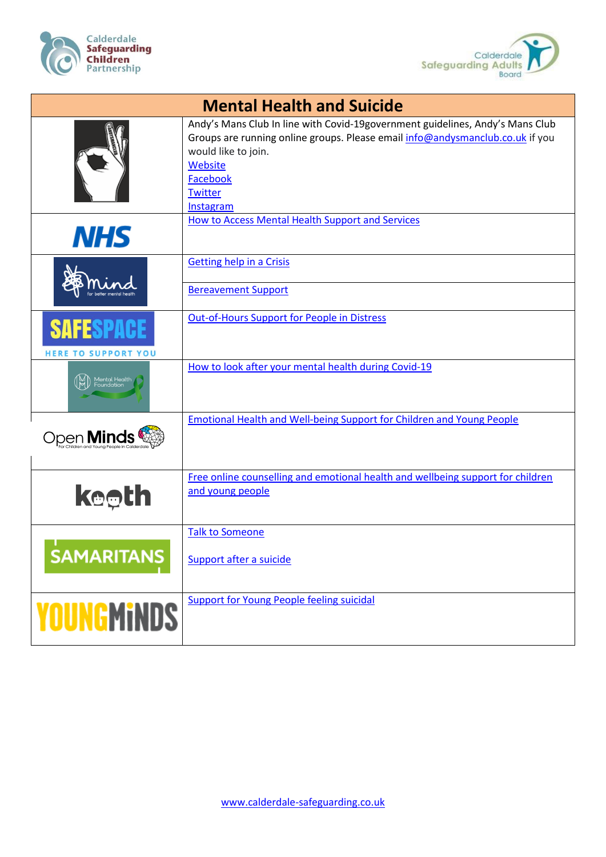



| <b>Mental Health and Suicide</b>     |                                                                                                                                                                                                                                             |
|--------------------------------------|---------------------------------------------------------------------------------------------------------------------------------------------------------------------------------------------------------------------------------------------|
|                                      | Andy's Mans Club In line with Covid-19government guidelines, Andy's Mans Club<br>Groups are running online groups. Please email info@andysmanclub.co.uk if you<br>would like to join.<br>Website<br>Facebook<br><b>Twitter</b><br>Instagram |
| <b>NHS</b>                           | How to Access Mental Health Support and Services                                                                                                                                                                                            |
|                                      | <b>Getting help in a Crisis</b><br><b>Bereavement Support</b>                                                                                                                                                                               |
|                                      |                                                                                                                                                                                                                                             |
| SAFESP<br><b>HERE TO SUPPORT YOU</b> | <b>Out-of-Hours Support for People in Distress</b>                                                                                                                                                                                          |
| ental Healtr                         | How to look after your mental health during Covid-19                                                                                                                                                                                        |
| Open <b>Minds</b>                    | <b>Emotional Health and Well-being Support for Children and Young People</b>                                                                                                                                                                |
| <b>k⊕eth</b>                         | Free online counselling and emotional health and wellbeing support for children<br>and young people                                                                                                                                         |
| <b>SAMARITANS</b>                    | <b>Talk to Someone</b><br>Support after a suicide                                                                                                                                                                                           |
| <b>YOUNGMINDS</b>                    | <b>Support for Young People feeling suicidal</b>                                                                                                                                                                                            |